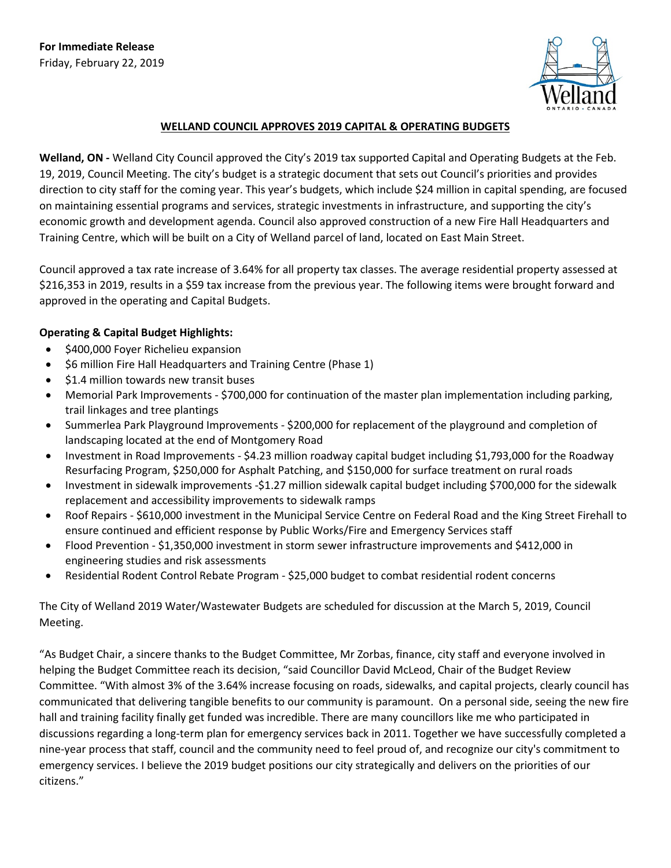**For Immediate Release** Friday, February 22, 2019



## **WELLAND COUNCIL APPROVES 2019 CAPITAL & OPERATING BUDGETS**

**Welland, ON -** Welland City Council approved the City's 2019 tax supported Capital and Operating Budgets at the Feb. 19, 2019, Council Meeting. The city's budget is a strategic document that sets out Council's priorities and provides direction to city staff for the coming year. This year's budgets, which include \$24 million in capital spending, are focused on maintaining essential programs and services, strategic investments in infrastructure, and supporting the city's economic growth and development agenda. Council also approved construction of a new Fire Hall Headquarters and Training Centre, which will be built on a City of Welland parcel of land, located on East Main Street.

Council approved a tax rate increase of 3.64% for all property tax classes. The average residential property assessed at \$216,353 in 2019, results in a \$59 tax increase from the previous year. The following items were brought forward and approved in the operating and Capital Budgets.

## **Operating & Capital Budget Highlights:**

- \$400,000 Foyer Richelieu expansion
- \$6 million Fire Hall Headquarters and Training Centre (Phase 1)
- \$1.4 million towards new transit buses
- Memorial Park Improvements \$700,000 for continuation of the master plan implementation including parking, trail linkages and tree plantings
- Summerlea Park Playground Improvements \$200,000 for replacement of the playground and completion of landscaping located at the end of Montgomery Road
- Investment in Road Improvements \$4.23 million roadway capital budget including \$1,793,000 for the Roadway Resurfacing Program, \$250,000 for Asphalt Patching, and \$150,000 for surface treatment on rural roads
- Investment in sidewalk improvements -\$1.27 million sidewalk capital budget including \$700,000 for the sidewalk replacement and accessibility improvements to sidewalk ramps
- Roof Repairs \$610,000 investment in the Municipal Service Centre on Federal Road and the King Street Firehall to ensure continued and efficient response by Public Works/Fire and Emergency Services staff
- Flood Prevention \$1,350,000 investment in storm sewer infrastructure improvements and \$412,000 in engineering studies and risk assessments
- Residential Rodent Control Rebate Program \$25,000 budget to combat residential rodent concerns

The City of Welland 2019 Water/Wastewater Budgets are scheduled for discussion at the March 5, 2019, Council Meeting.

"As Budget Chair, a sincere thanks to the Budget Committee, Mr Zorbas, finance, city staff and everyone involved in helping the Budget Committee reach its decision, "said Councillor David McLeod, Chair of the Budget Review Committee. "With almost 3% of the 3.64% increase focusing on roads, sidewalks, and capital projects, clearly council has communicated that delivering tangible benefits to our community is paramount. On a personal side, seeing the new fire hall and training facility finally get funded was incredible. There are many councillors like me who participated in discussions regarding a long-term plan for emergency services back in 2011. Together we have successfully completed a nine-year process that staff, council and the community need to feel proud of, and recognize our city's commitment to emergency services. I believe the 2019 budget positions our city strategically and delivers on the priorities of our citizens."